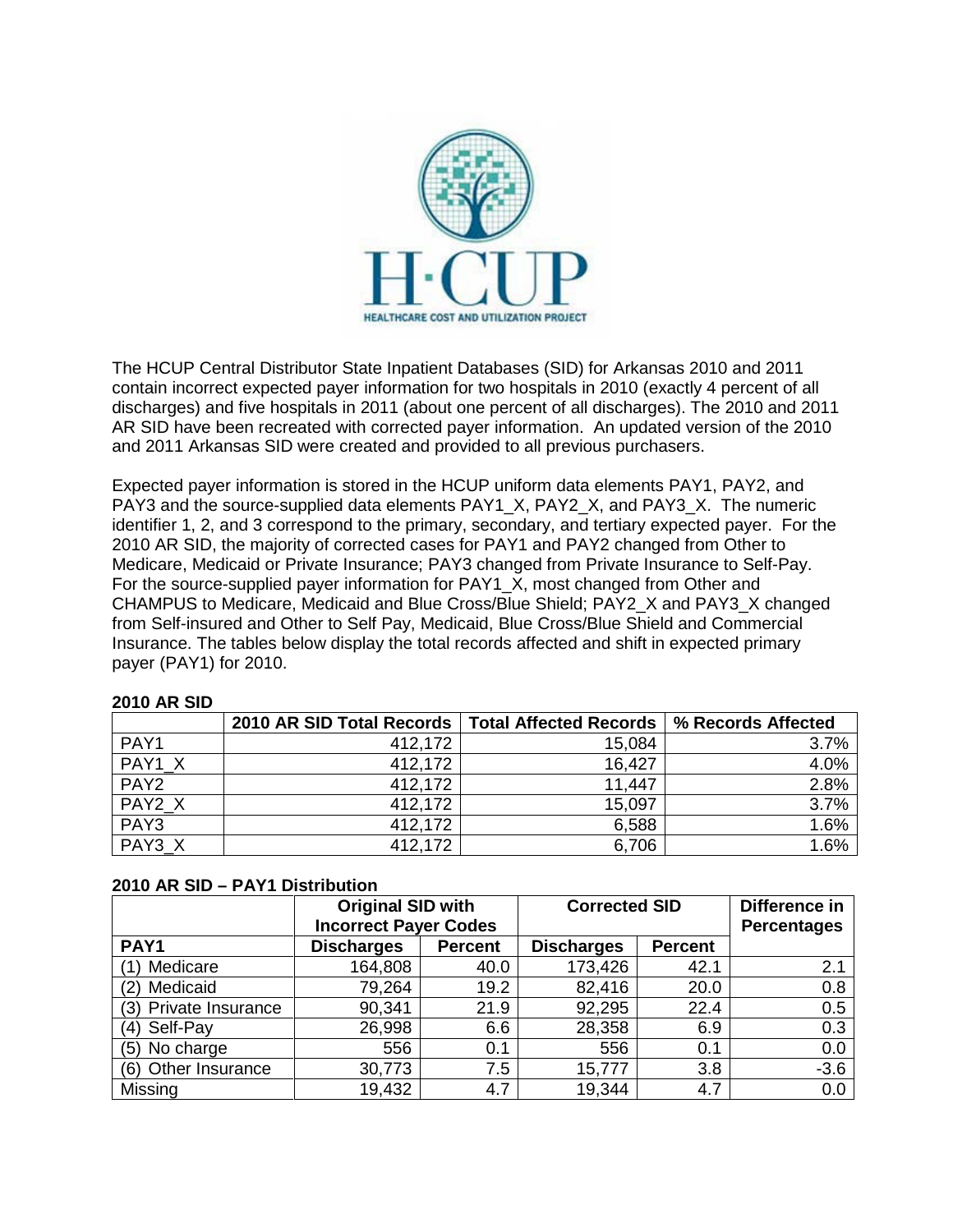

The HCUP Central Distributor State Inpatient Databases (SID) for Arkansas 2010 and 2011 contain incorrect expected payer information for two hospitals in 2010 (exactly 4 percent of all discharges) and five hospitals in 2011 (about one percent of all discharges). The 2010 and 2011 AR SID have been recreated with corrected payer information. An updated version of the 2010 and 2011 Arkansas SID were created and provided to all previous purchasers.

Expected payer information is stored in the HCUP uniform data elements PAY1, PAY2, and PAY3 and the source-supplied data elements PAY1\_X, PAY2\_X, and PAY3\_X. The numeric identifier 1, 2, and 3 correspond to the primary, secondary, and tertiary expected payer. For the 2010 AR SID, the majority of corrected cases for PAY1 and PAY2 changed from Other to Medicare, Medicaid or Private Insurance; PAY3 changed from Private Insurance to Self-Pay. For the source-supplied payer information for PAY1 X, most changed from Other and CHAMPUS to Medicare, Medicaid and Blue Cross/Blue Shield; PAY2\_X and PAY3\_X changed from Self-insured and Other to Self Pay, Medicaid, Blue Cross/Blue Shield and Commercial Insurance. The tables below display the total records affected and shift in expected primary payer (PAY1) for 2010.

|                  | 2010 AR SID Total Records   Total Affected Records |        | % Records Affected |
|------------------|----------------------------------------------------|--------|--------------------|
| PAY1             | 412,172                                            | 15,084 | 3.7%               |
| PAY1 X           | 412,172                                            | 16.427 | 4.0%               |
| PAY <sub>2</sub> | 412,172                                            | 11,447 | 2.8%               |
| PAY2 X           | 412,172                                            | 15,097 | 3.7%               |
| PAY3             | 412,172                                            | 6,588  | 1.6%               |
| PAY3 X           | 412,172                                            | 6,706  | 1.6%               |

## **2010 AR SID**

|  |  |  | 2010 AR SID - PAY1 Distribution |
|--|--|--|---------------------------------|
|--|--|--|---------------------------------|

|                        | <b>Original SID with</b><br><b>Incorrect Payer Codes</b> |                | <b>Corrected SID</b> |                | Difference in<br><b>Percentages</b> |
|------------------------|----------------------------------------------------------|----------------|----------------------|----------------|-------------------------------------|
| PAY1                   | <b>Discharges</b>                                        | <b>Percent</b> | <b>Discharges</b>    | <b>Percent</b> |                                     |
| Medicare               | 164,808                                                  | 40.0           | 173,426              | 42.1           | 2.1                                 |
| Medicaid               | 79,264                                                   | 19.2           | 82,416               | 20.0           | 0.8                                 |
| Private Insurance      | 90,341                                                   | 21.9           | 92,295               | 22.4           | 0.5                                 |
| (4) Self-Pay           | 26,998                                                   | 6.6            | 28,358               | 6.9            | 0.3                                 |
| No charge<br>(5)       | 556                                                      | 0.1            | 556                  | 0.1            | 0.0                                 |
| Other Insurance<br>(6) | 30,773                                                   | 7.5            | 15,777               | 3.8            | $-3.6$                              |
| Missing                | 19,432                                                   | 4.7            | 19,344               | 4.7            | 0.0                                 |